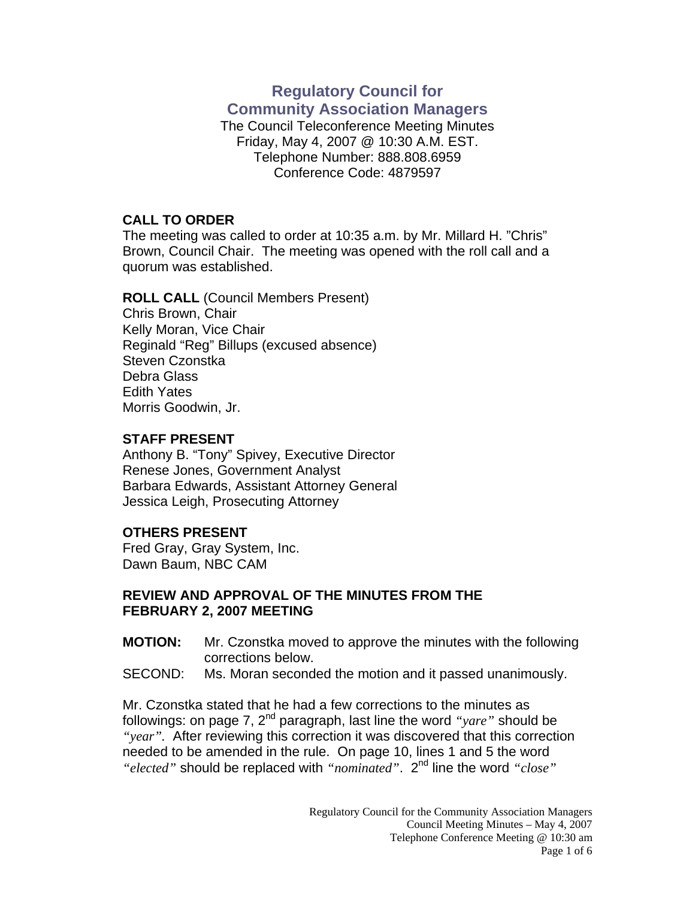# **Regulatory Council for Community Association Managers**

The Council Teleconference Meeting Minutes Friday, May 4, 2007 @ 10:30 A.M. EST. Telephone Number: 888.808.6959 Conference Code: 4879597

### **CALL TO ORDER**

The meeting was called to order at 10:35 a.m. by Mr. Millard H. "Chris" Brown, Council Chair. The meeting was opened with the roll call and a quorum was established.

# **ROLL CALL** (Council Members Present)

Chris Brown, Chair Kelly Moran, Vice Chair Reginald "Reg" Billups (excused absence) Steven Czonstka Debra Glass Edith Yates Morris Goodwin, Jr.

## **STAFF PRESENT**

Anthony B. "Tony" Spivey, Executive Director Renese Jones, Government Analyst Barbara Edwards, Assistant Attorney General Jessica Leigh, Prosecuting Attorney

## **OTHERS PRESENT**

Fred Gray, Gray System, Inc. Dawn Baum, NBC CAM

### **REVIEW AND APPROVAL OF THE MINUTES FROM THE FEBRUARY 2, 2007 MEETING**

- **MOTION:** Mr. Czonstka moved to approve the minutes with the following corrections below.
- SECOND: Ms. Moran seconded the motion and it passed unanimously.

Mr. Czonstka stated that he had a few corrections to the minutes as followings: on page 7, 2<sup>nd</sup> paragraph, last line the word *"yare"* should be *"year".* After reviewing this correction it was discovered that this correction needed to be amended in the rule. On page 10, lines 1 and 5 the word *"elected"* should be replaced with *"nominated"*. 2nd line the word *"close"*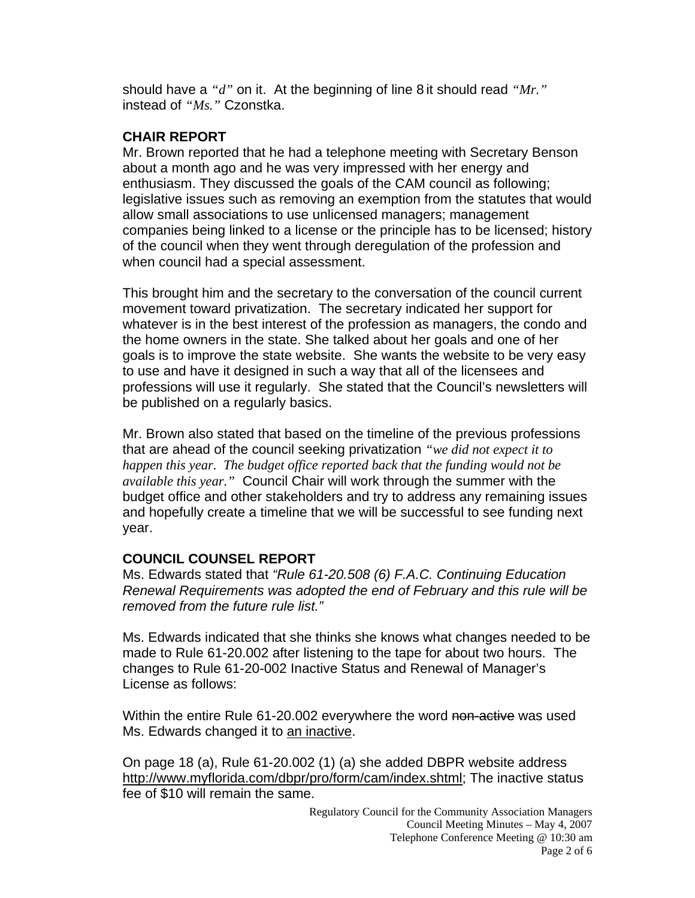should have a *"d"* on it. At the beginning of line 8 it should read *"Mr."* instead of *"Ms."* Czonstka.

## **CHAIR REPORT**

Mr. Brown reported that he had a telephone meeting with Secretary Benson about a month ago and he was very impressed with her energy and enthusiasm. They discussed the goals of the CAM council as following; legislative issues such as removing an exemption from the statutes that would allow small associations to use unlicensed managers; management companies being linked to a license or the principle has to be licensed; history of the council when they went through deregulation of the profession and when council had a special assessment.

This brought him and the secretary to the conversation of the council current movement toward privatization. The secretary indicated her support for whatever is in the best interest of the profession as managers, the condo and the home owners in the state. She talked about her goals and one of her goals is to improve the state website. She wants the website to be very easy to use and have it designed in such a way that all of the licensees and professions will use it regularly. She stated that the Council's newsletters will be published on a regularly basics.

Mr. Brown also stated that based on the timeline of the previous professions that are ahead of the council seeking privatization *"we did not expect it to happen this year. The budget office reported back that the funding would not be available this year."* Council Chair will work through the summer with the budget office and other stakeholders and try to address any remaining issues and hopefully create a timeline that we will be successful to see funding next year.

## **COUNCIL COUNSEL REPORT**

Ms. Edwards stated that *"Rule 61-20.508 (6) F.A.C. Continuing Education Renewal Requirements was adopted the end of February and this rule will be removed from the future rule list."* 

Ms. Edwards indicated that she thinks she knows what changes needed to be made to Rule 61-20.002 after listening to the tape for about two hours. The changes to Rule 61-20-002 Inactive Status and Renewal of Manager's License as follows:

Within the entire Rule 61-20.002 everywhere the word non-active was used Ms. Edwards changed it to an inactive.

On page 18 (a), Rule 61-20.002 (1) (a) she added DBPR website address <http://www.myflorida.com/dbpr/pro/form/cam/index.shtml>; The inactive status fee of \$10 will remain the same.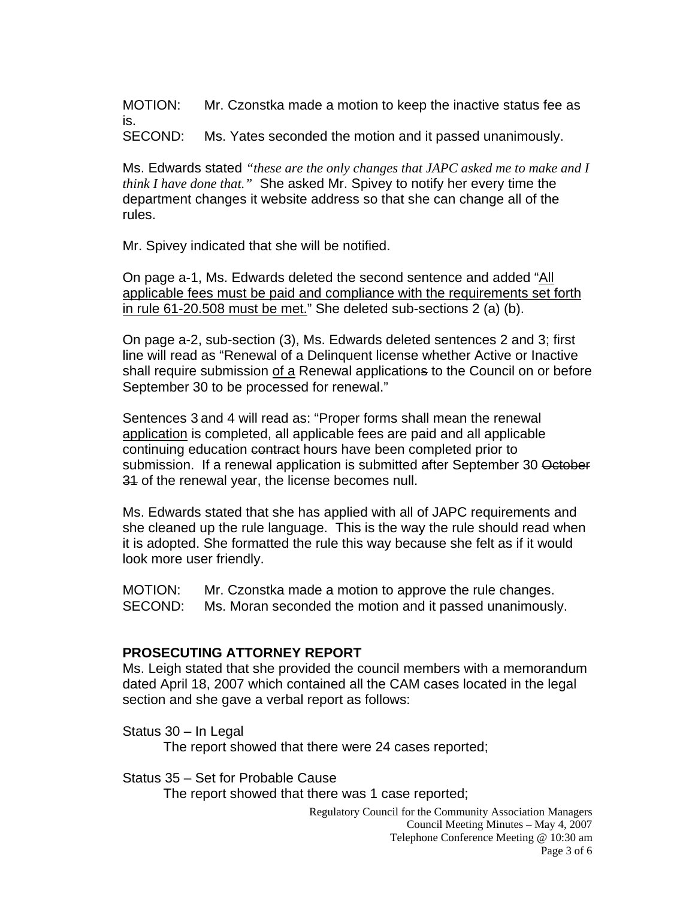MOTION: Mr. Czonstka made a motion to keep the inactive status fee as is.

SECOND: Ms. Yates seconded the motion and it passed unanimously.

Ms. Edwards stated *"these are the only changes that JAPC asked me to make and I think I have done that."* She asked Mr. Spivey to notify her every time the department changes it website address so that she can change all of the rules.

Mr. Spivey indicated that she will be notified.

On page a-1, Ms. Edwards deleted the second sentence and added "All applicable fees must be paid and compliance with the requirements set forth in rule 61-20.508 must be met." She deleted sub-sections 2 (a) (b).

On page a-2, sub-section (3), Ms. Edwards deleted sentences 2 and 3; first line will read as "Renewal of a Delinquent license whether Active or Inactive shall require submission of a Renewal applications to the Council on or before September 30 to be processed for renewal."

Sentences 3 and 4 will read as: "Proper forms shall mean the renewal application is completed, all applicable fees are paid and all applicable continuing education contract hours have been completed prior to submission. If a renewal application is submitted after September 30 October 31 of the renewal year, the license becomes null.

Ms. Edwards stated that she has applied with all of JAPC requirements and she cleaned up the rule language. This is the way the rule should read when it is adopted. She formatted the rule this way because she felt as if it would look more user friendly.

MOTION: Mr. Czonstka made a motion to approve the rule changes. SECOND: Ms. Moran seconded the motion and it passed unanimously.

#### **PROSECUTING ATTORNEY REPORT**

Ms. Leigh stated that she provided the council members with a memorandum dated April 18, 2007 which contained all the CAM cases located in the legal section and she gave a verbal report as follows:

Status 30 – In Legal

The report showed that there were 24 cases reported;

Status 35 – Set for Probable Cause

The report showed that there was 1 case reported;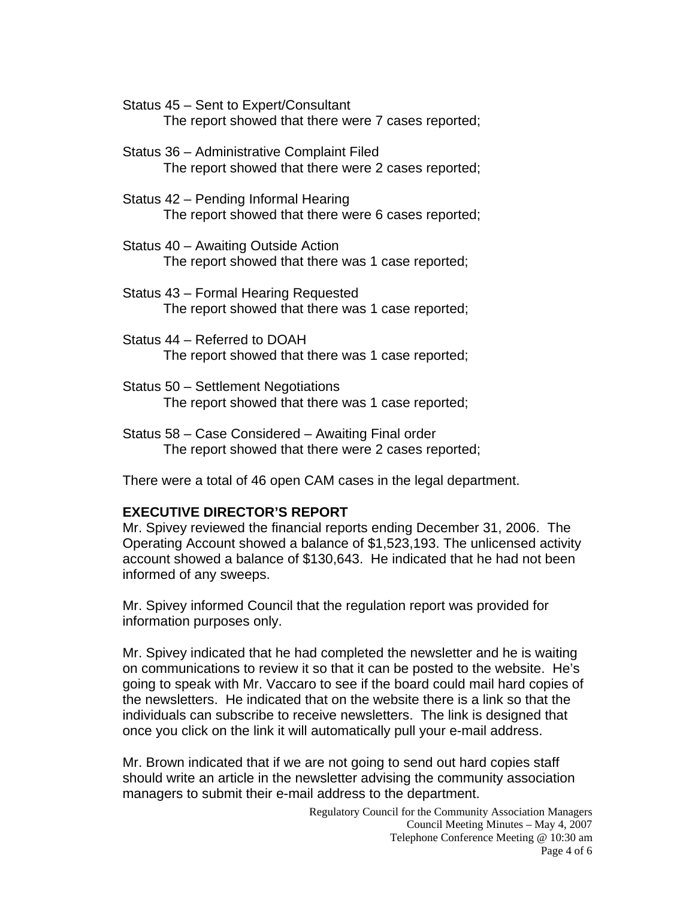Status 45 – Sent to Expert/Consultant The report showed that there were 7 cases reported;

- Status 36 Administrative Complaint Filed The report showed that there were 2 cases reported;
- Status 42 Pending Informal Hearing The report showed that there were 6 cases reported;
- Status 40 Awaiting Outside Action The report showed that there was 1 case reported;
- Status 43 Formal Hearing Requested The report showed that there was 1 case reported;
- Status 44 Referred to DOAH The report showed that there was 1 case reported;
- Status 50 Settlement Negotiations The report showed that there was 1 case reported;
- Status 58 Case Considered Awaiting Final order The report showed that there were 2 cases reported;

There were a total of 46 open CAM cases in the legal department.

# **EXECUTIVE DIRECTOR'S REPORT**

Mr. Spivey reviewed the financial reports ending December 31, 2006. The Operating Account showed a balance of \$1,523,193. The unlicensed activity account showed a balance of \$130,643. He indicated that he had not been informed of any sweeps.

Mr. Spivey informed Council that the regulation report was provided for information purposes only.

Mr. Spivey indicated that he had completed the newsletter and he is waiting on communications to review it so that it can be posted to the website. He's going to speak with Mr. Vaccaro to see if the board could mail hard copies of the newsletters. He indicated that on the website there is a link so that the individuals can subscribe to receive newsletters. The link is designed that once you click on the link it will automatically pull your e-mail address.

Mr. Brown indicated that if we are not going to send out hard copies staff should write an article in the newsletter advising the community association managers to submit their e-mail address to the department.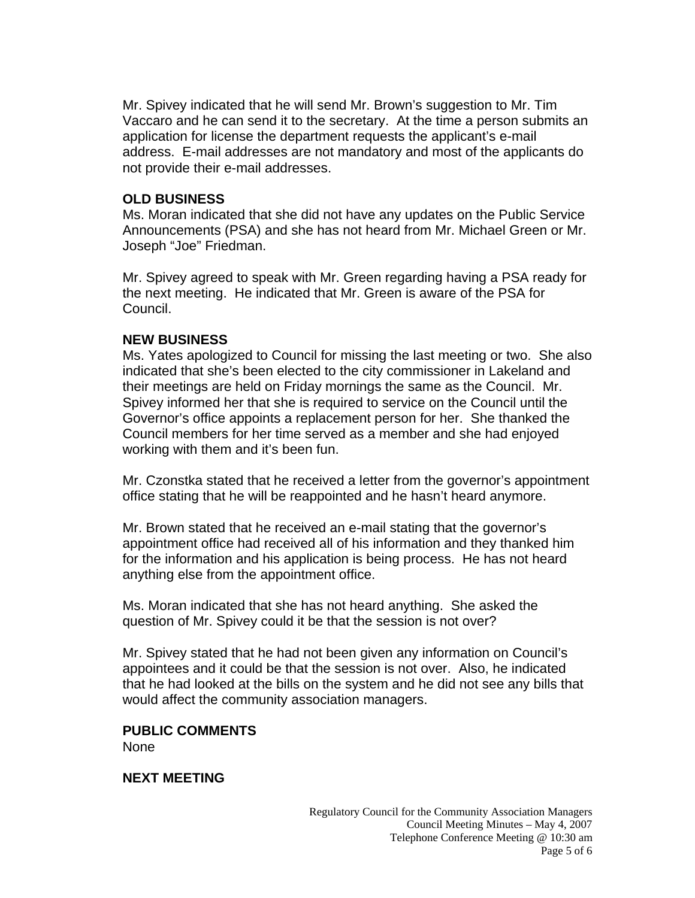Mr. Spivey indicated that he will send Mr. Brown's suggestion to Mr. Tim Vaccaro and he can send it to the secretary. At the time a person submits an application for license the department requests the applicant's e-mail address. E-mail addresses are not mandatory and most of the applicants do not provide their e-mail addresses.

#### **OLD BUSINESS**

Ms. Moran indicated that she did not have any updates on the Public Service Announcements (PSA) and she has not heard from Mr. Michael Green or Mr. Joseph "Joe" Friedman.

Mr. Spivey agreed to speak with Mr. Green regarding having a PSA ready for the next meeting. He indicated that Mr. Green is aware of the PSA for Council.

#### **NEW BUSINESS**

Ms. Yates apologized to Council for missing the last meeting or two. She also indicated that she's been elected to the city commissioner in Lakeland and their meetings are held on Friday mornings the same as the Council. Mr. Spivey informed her that she is required to service on the Council until the Governor's office appoints a replacement person for her. She thanked the Council members for her time served as a member and she had enjoyed working with them and it's been fun.

Mr. Czonstka stated that he received a letter from the governor's appointment office stating that he will be reappointed and he hasn't heard anymore.

Mr. Brown stated that he received an e-mail stating that the governor's appointment office had received all of his information and they thanked him for the information and his application is being process. He has not heard anything else from the appointment office.

Ms. Moran indicated that she has not heard anything. She asked the question of Mr. Spivey could it be that the session is not over?

Mr. Spivey stated that he had not been given any information on Council's appointees and it could be that the session is not over. Also, he indicated that he had looked at the bills on the system and he did not see any bills that would affect the community association managers.

#### **PUBLIC COMMENTS**  None

#### **NEXT MEETING**